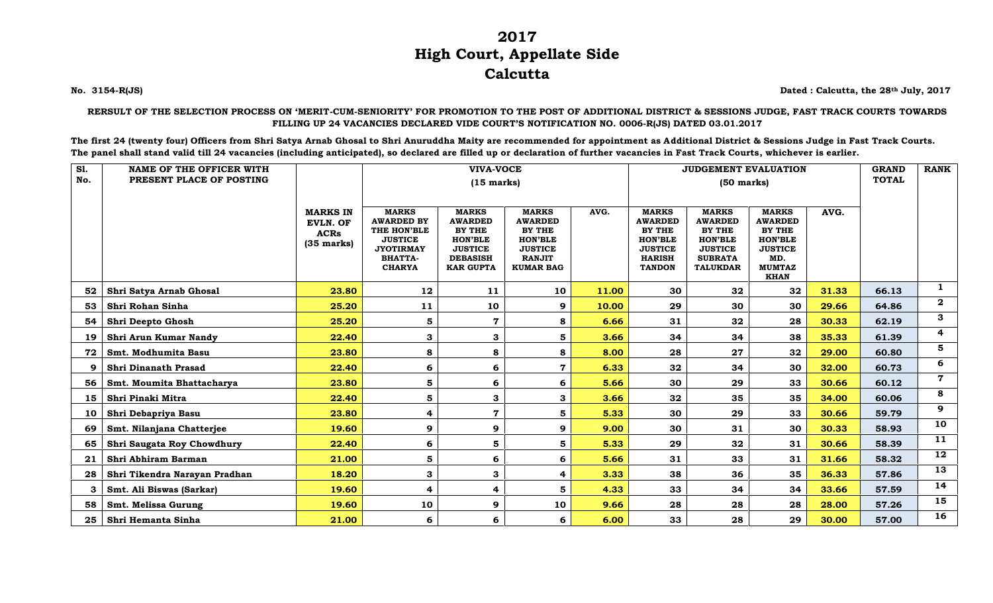## **2017 High Court, Appellate Side Calcutta**

**No. 3154-R(JS) Dated : Calcutta, the 28th July, 2017**

## **RERSULT OF THE SELECTION PROCESS ON 'MERIT-CUM-SENIORITY' FOR PROMOTION TO THE POST OF ADDITIONAL DISTRICT & SESSIONS JUDGE, FAST TRACK COURTS TOWARDS FILLING UP 24 VACANCIES DECLARED VIDE COURT'S NOTIFICATION NO. 0006-R(JS) DATED 03.01.2017**

**The first 24 (twenty four) Officers from Shri Satya Arnab Ghosal to Shri Anuruddha Maity are recommended for appointment as Additional District & Sessions Judge in Fast Track Courts. The panel shall stand valid till 24 vacancies (including anticipated), so declared are filled up or declaration of further vacancies in Fast Track Courts, whichever is earlier.**

| <b>S1.</b> | <b>NAME OF THE OFFICER WITH</b> |                                                                           |                                                                                                                           | <b>VIVA-VOCE</b>                                                                                                    |                                                                                                                          |       |                                                                                                                       | <b>JUDGEMENT EVALUATION</b>                                                                                       | <b>GRAND</b>                                                                                                               | <b>RANK</b> |       |              |
|------------|---------------------------------|---------------------------------------------------------------------------|---------------------------------------------------------------------------------------------------------------------------|---------------------------------------------------------------------------------------------------------------------|--------------------------------------------------------------------------------------------------------------------------|-------|-----------------------------------------------------------------------------------------------------------------------|-------------------------------------------------------------------------------------------------------------------|----------------------------------------------------------------------------------------------------------------------------|-------------|-------|--------------|
| No.        | PRESENT PLACE OF POSTING        |                                                                           |                                                                                                                           |                                                                                                                     | $(50$ marks)                                                                                                             |       |                                                                                                                       | <b>TOTAL</b>                                                                                                      |                                                                                                                            |             |       |              |
|            |                                 | <b>MARKS IN</b><br><b>EVLN. OF</b><br><b>ACRs</b><br>$(35 \text{ marks})$ | <b>MARKS</b><br><b>AWARDED BY</b><br>THE HON'BLE<br><b>JUSTICE</b><br><b>JYOTIRMAY</b><br><b>BHATTA-</b><br><b>CHARYA</b> | <b>MARKS</b><br><b>AWARDED</b><br>BY THE<br><b>HON'BLE</b><br><b>JUSTICE</b><br><b>DEBASISH</b><br><b>KAR GUPTA</b> | <b>MARKS</b><br><b>AWARDED</b><br><b>BY THE</b><br><b>HON'BLE</b><br><b>JUSTICE</b><br><b>RANJIT</b><br><b>KUMAR BAG</b> | AVG.  | <b>MARKS</b><br><b>AWARDED</b><br><b>BY THE</b><br><b>HON'BLE</b><br><b>JUSTICE</b><br><b>HARISH</b><br><b>TANDON</b> | <b>MARKS</b><br><b>AWARDED</b><br>BY THE<br><b>HON'BLE</b><br><b>JUSTICE</b><br><b>SUBRATA</b><br><b>TALUKDAR</b> | <b>MARKS</b><br><b>AWARDED</b><br><b>BY THE</b><br><b>HON'BLE</b><br><b>JUSTICE</b><br>MD.<br><b>MUMTAZ</b><br><b>KHAN</b> | AVG.        |       |              |
| 52         | Shri Satya Arnab Ghosal         | 23.80                                                                     | 12                                                                                                                        | 11                                                                                                                  | 10                                                                                                                       | 11.00 | 30                                                                                                                    | 32                                                                                                                | 32                                                                                                                         | 31.33       | 66.13 | $\mathbf{1}$ |
| 53         | Shri Rohan Sinha                | 25.20                                                                     | 11                                                                                                                        | 10                                                                                                                  | 9                                                                                                                        | 10.00 | 29                                                                                                                    | 30                                                                                                                | 30                                                                                                                         | 29.66       | 64.86 | $\mathbf 2$  |
| 54         | Shri Deepto Ghosh               | 25.20                                                                     | 5                                                                                                                         | $\mathbf 7$                                                                                                         | 8                                                                                                                        | 6.66  | 31                                                                                                                    | 32                                                                                                                | 28                                                                                                                         | 30.33       | 62.19 | 3            |
| 19         | Shri Arun Kumar Nandy           | 22.40                                                                     | 3                                                                                                                         | 3                                                                                                                   | 5                                                                                                                        | 3.66  | 34                                                                                                                    | 34                                                                                                                | 38                                                                                                                         | 35.33       | 61.39 | 4            |
| 72         | Smt. Modhumita Basu             | 23.80                                                                     | 8                                                                                                                         | 8                                                                                                                   | 8                                                                                                                        | 8.00  | 28                                                                                                                    | 27                                                                                                                | 32                                                                                                                         | 29.00       | 60.80 | 5            |
| 9          | <b>Shri Dinanath Prasad</b>     | 22.40                                                                     | 6                                                                                                                         | 6                                                                                                                   | $\mathbf 7$                                                                                                              | 6.33  | 32                                                                                                                    | 34                                                                                                                | 30                                                                                                                         | 32.00       | 60.73 | 6            |
| 56         | Smt. Moumita Bhattacharya       | 23.80                                                                     | 5                                                                                                                         | 6                                                                                                                   | 6                                                                                                                        | 5.66  | 30                                                                                                                    | 29                                                                                                                | 33                                                                                                                         | 30.66       | 60.12 | 7            |
| 15         | Shri Pinaki Mitra               | 22.40                                                                     | 5                                                                                                                         | 3                                                                                                                   | 3                                                                                                                        | 3.66  | 32                                                                                                                    | 35                                                                                                                | 35                                                                                                                         | 34.00       | 60.06 | 8            |
| 10         | Shri Debapriya Basu             | 23.80                                                                     | 4                                                                                                                         | $\mathbf 7$                                                                                                         | 5                                                                                                                        | 5.33  | 30                                                                                                                    | 29                                                                                                                | 33                                                                                                                         | 30.66       | 59.79 | 9            |
| 69         | Smt. Nilanjana Chatterjee       | 19.60                                                                     | 9                                                                                                                         | 9                                                                                                                   | 9                                                                                                                        | 9.00  | 30                                                                                                                    | 31                                                                                                                | 30                                                                                                                         | 30.33       | 58.93 | 10           |
| 65         | Shri Saugata Roy Chowdhury      | 22.40                                                                     | 6                                                                                                                         | 5                                                                                                                   | 5                                                                                                                        | 5.33  | 29                                                                                                                    | 32                                                                                                                | 31                                                                                                                         | 30.66       | 58.39 | 11           |
| 21         | Shri Abhiram Barman             | 21.00                                                                     | 5                                                                                                                         | 6                                                                                                                   | 6                                                                                                                        | 5.66  | 31                                                                                                                    | 33                                                                                                                | 31                                                                                                                         | 31.66       | 58.32 | 12           |
| 28         | Shri Tikendra Narayan Pradhan   | 18.20                                                                     | 3                                                                                                                         | 3                                                                                                                   | 4                                                                                                                        | 3.33  | 38                                                                                                                    | 36                                                                                                                | 35                                                                                                                         | 36.33       | 57.86 | 13           |
| 3          | Smt. Ali Biswas (Sarkar)        | 19.60                                                                     | 4                                                                                                                         | 4                                                                                                                   | 5                                                                                                                        | 4.33  | 33                                                                                                                    | 34                                                                                                                | 34                                                                                                                         | 33.66       | 57.59 | 14           |
| 58         | Smt. Melissa Gurung             | 19.60                                                                     | 10                                                                                                                        | 9                                                                                                                   | 10                                                                                                                       | 9.66  | 28                                                                                                                    | 28                                                                                                                | 28                                                                                                                         | 28.00       | 57.26 | 15           |
| 25         | Shri Hemanta Sinha              | 21.00                                                                     | 6                                                                                                                         | 6                                                                                                                   | 6                                                                                                                        | 6.00  | 33                                                                                                                    | 28                                                                                                                | 29                                                                                                                         | 30.00       | 57.00 | 16           |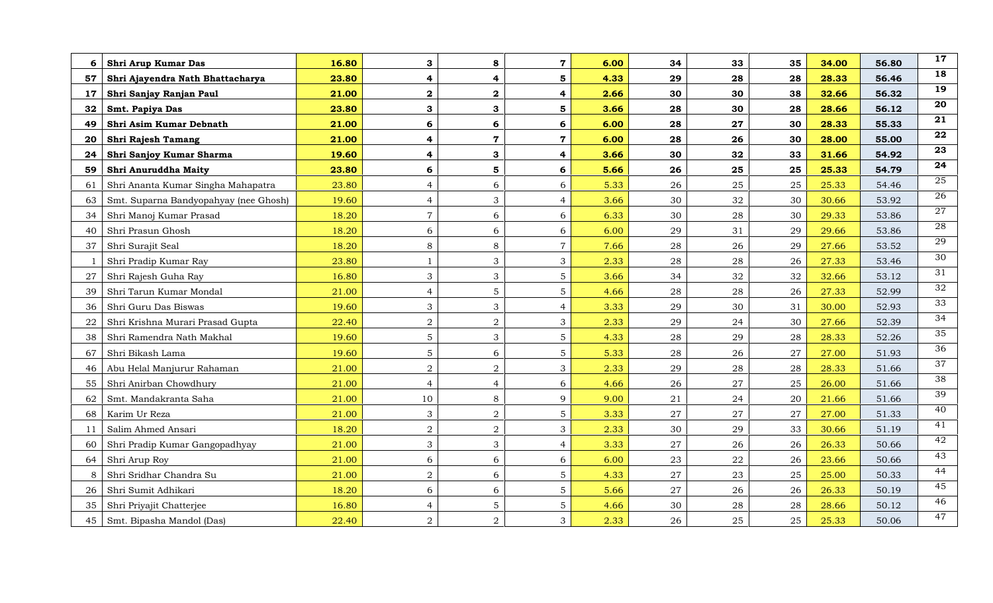| Shri Arup Kumar Das<br>6                    | 16.80 | 3                       | 8                       | $\mathbf 7$             | 6.00 | 34         | 33         | 35 | 34.00 | 56.80 | 17              |
|---------------------------------------------|-------|-------------------------|-------------------------|-------------------------|------|------------|------------|----|-------|-------|-----------------|
| 57<br>Shri Ajayendra Nath Bhattacharya      | 23.80 | $\overline{\mathbf{4}}$ | 4                       | 5                       | 4.33 | 29         | 28         | 28 | 28.33 | 56.46 | 18              |
| 17<br>Shri Sanjay Ranjan Paul               | 21.00 | $\overline{\mathbf{2}}$ | $\overline{\mathbf{2}}$ | $\overline{\mathbf{4}}$ | 2.66 | 30         | 30         | 38 | 32.66 | 56.32 | 19              |
| Smt. Papiya Das<br>32                       | 23.80 | 3                       | 3                       | 5                       | 3.66 | 28         | 30         | 28 | 28.66 | 56.12 | 20              |
| Shri Asim Kumar Debnath<br>49               | 21.00 | 6                       | 6                       | 6                       | 6.00 | 28         | 27         | 30 | 28.33 | 55.33 | 21              |
| Shri Rajesh Tamang<br>20                    | 21.00 | 4                       | $\overline{7}$          | $\mathbf 7$             | 6.00 | 28         | 26         | 30 | 28.00 | 55.00 | 22              |
| Shri Sanjoy Kumar Sharma<br>24              | 19.60 | $\overline{\mathbf{4}}$ | 3                       | $\overline{\mathbf{4}}$ | 3.66 | 30         | 32         | 33 | 31.66 | 54.92 | 23              |
| Shri Anuruddha Maity<br>59                  | 23.80 | 6                       | 5                       | 6                       | 5.66 | 26         | 25         | 25 | 25.33 | 54.79 | 24              |
| Shri Ananta Kumar Singha Mahapatra<br>61    | 23.80 | $\overline{4}$          | 6                       | 6                       | 5.33 | 26         | 25         | 25 | 25.33 | 54.46 | 25              |
| Smt. Suparna Bandyopahyay (nee Ghosh)<br>63 | 19.60 | $\overline{4}$          | 3                       | $\overline{4}$          | 3.66 | 30         | 32         | 30 | 30.66 | 53.92 | 26              |
| Shri Manoj Kumar Prasad<br>34               | 18.20 | $\overline{7}$          | 6                       | 6                       | 6.33 | 30         | 28         | 30 | 29.33 | 53.86 | 27              |
| Shri Prasun Ghosh<br>40                     | 18.20 | $6\,$                   | 6                       | 6                       | 6.00 | 29         | 31         | 29 | 29.66 | 53.86 | 28              |
| Shri Surajit Seal<br>37                     | 18.20 | 8                       | 8                       | $\overline{7}$          | 7.66 | 28         | 26         | 29 | 27.66 | 53.52 | 29              |
| Shri Pradip Kumar Ray                       | 23.80 | $\mathbf{1}$            | 3                       | 3                       | 2.33 | 28         | 28         | 26 | 27.33 | 53.46 | 30              |
| Shri Rajesh Guha Ray<br>27                  | 16.80 | 3                       | 3                       | 5                       | 3.66 | 34         | 32         | 32 | 32.66 | 53.12 | 31              |
| Shri Tarun Kumar Mondal<br>39               | 21.00 | $\overline{4}$          | $5\phantom{.}$          | $5\phantom{.}$          | 4.66 | 28         | ${\bf 28}$ | 26 | 27.33 | 52.99 | $\overline{32}$ |
| Shri Guru Das Biswas<br>36                  | 19.60 | 3                       | 3                       | $\overline{4}$          | 3.33 | 29         | 30         | 31 | 30.00 | 52.93 | $\overline{33}$ |
| Shri Krishna Murari Prasad Gupta<br>22      | 22.40 | $\overline{2}$          | $\overline{2}$          | 3                       | 2.33 | 29         | 24         | 30 | 27.66 | 52.39 | 34              |
| Shri Ramendra Nath Makhal<br>38             | 19.60 | $\overline{5}$          | 3                       | 5                       | 4.33 | 28         | 29         | 28 | 28.33 | 52.26 | 35              |
| Shri Bikash Lama<br>67                      | 19.60 | $\overline{5}$          | 6                       | 5                       | 5.33 | ${\bf 28}$ | 26         | 27 | 27.00 | 51.93 | 36              |
| Abu Helal Manjurur Rahaman<br>46            | 21.00 | $\overline{a}$          | $\overline{2}$          | 3                       | 2.33 | 29         | ${\bf 28}$ | 28 | 28.33 | 51.66 | 37              |
| Shri Anirban Chowdhury<br>55                | 21.00 | $\overline{4}$          | $\overline{4}$          | 6                       | 4.66 | 26         | 27         | 25 | 26.00 | 51.66 | 38              |
| Smt. Mandakranta Saha<br>62                 | 21.00 | 10                      | 8                       | 9                       | 9.00 | 21         | 24         | 20 | 21.66 | 51.66 | 39              |
| Karim Ur Reza<br>68                         | 21.00 | $\mathfrak{Z}$          | $\overline{a}$          | 5                       | 3.33 | 27         | 27         | 27 | 27.00 | 51.33 | 40              |
| Salim Ahmed Ansari<br>11                    | 18.20 | $\sqrt{2}$              | $\overline{a}$          | $\overline{3}$          | 2.33 | 30         | 29         | 33 | 30.66 | 51.19 | 41              |
| Shri Pradip Kumar Gangopadhyay<br>60        | 21.00 | $\mathfrak{Z}$          | 3                       | $\overline{4}$          | 3.33 | 27         | 26         | 26 | 26.33 | 50.66 | 42              |
| Shri Arup Roy<br>64                         | 21.00 | 6                       | 6                       | 6                       | 6.00 | 23         | 22         | 26 | 23.66 | 50.66 | 43              |
| Shri Sridhar Chandra Su<br>8                | 21.00 | $\overline{a}$          | 6                       | 5                       | 4.33 | 27         | 23         | 25 | 25.00 | 50.33 | 44              |
| Shri Sumit Adhikari<br>26                   | 18.20 | $6\,$                   | 6                       | 5                       | 5.66 | 27         | 26         | 26 | 26.33 | 50.19 | $\overline{45}$ |
| Shri Priyajit Chatterjee<br>35              | 16.80 | $\overline{4}$          | 5 <sup>5</sup>          | $\overline{5}$          | 4.66 | 30         | 28         | 28 | 28.66 | 50.12 | 46              |
| 45<br>Smt. Bipasha Mandol (Das)             | 22.40 | 2                       | $\overline{2}$          | 3                       | 2.33 | 26         | 25         | 25 | 25.33 | 50.06 | 47              |